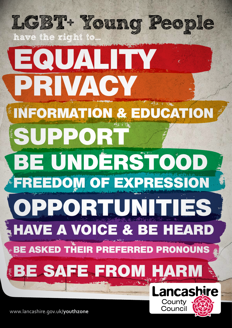

www.lancashire.gov.uk/**youthzone**